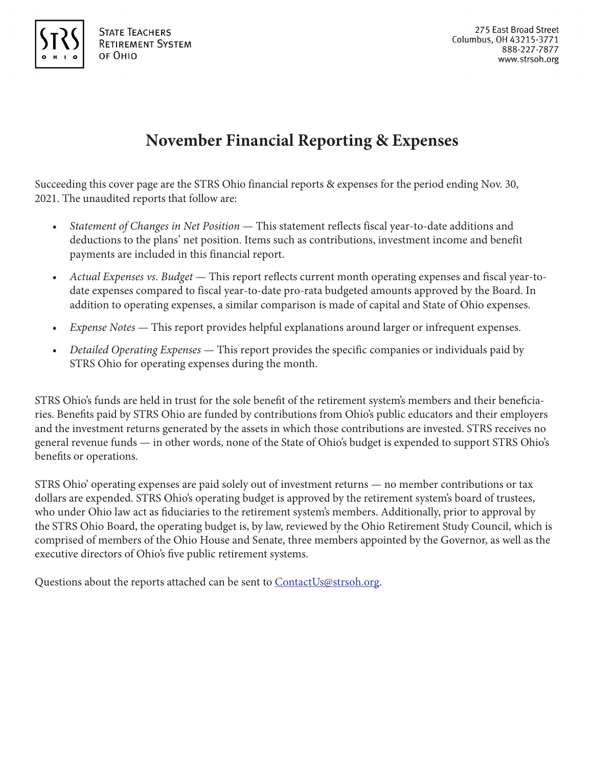

# **November Financial Reporting & Expenses**

Succeeding this cover page are the STRS Ohio financial reports & expenses for the period ending Nov. 30, 2021. The unaudited reports that follow are:

- *Statement of Changes in Net Position* This statement reflects fiscal year-to-date additions and deductions to the plans' net position. Items such as contributions, investment income and benefit payments are included in this financial report.
- *Actual Expenses vs. Budget* This report reflects current month operating expenses and fiscal year-todate expenses compared to fiscal year-to-date pro-rata budgeted amounts approved by the Board. In addition to operating expenses, a similar comparison is made of capital and State of Ohio expenses.
- *Expense Notes* This report provides helpful explanations around larger or infrequent expenses.
- *Detailed Operating Expenses* This report provides the specific companies or individuals paid by STRS Ohio for operating expenses during the month.

STRS Ohio's funds are held in trust for the sole benefit of the retirement system's members and their beneficiaries. Benefits paid by STRS Ohio are funded by contributions from Ohio's public educators and their employers and the investment returns generated by the assets in which those contributions are invested. STRS receives no general revenue funds — in other words, none of the State of Ohio's budget is expended to support STRS Ohio's benefits or operations.

STRS Ohio' operating expenses are paid solely out of investment returns — no member contributions or tax dollars are expended. STRS Ohio's operating budget is approved by the retirement system's board of trustees, who under Ohio law act as fiduciaries to the retirement system's members. Additionally, prior to approval by the STRS Ohio Board, the operating budget is, by law, reviewed by the Ohio Retirement Study Council, which is comprised of members of the Ohio House and Senate, three members appointed by the Governor, as well as the executive directors of Ohio's five public retirement systems.

Questions about the reports attached can be sent to ContactUs@strsoh.org.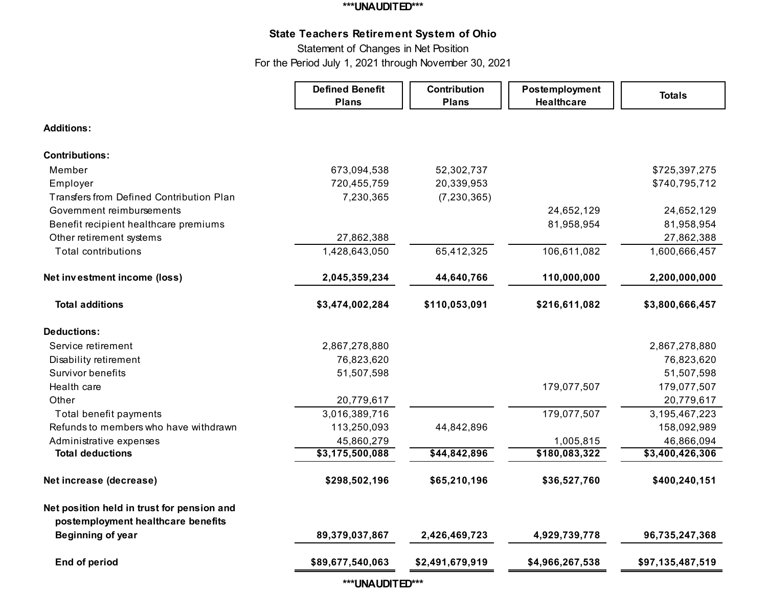#### **\*\*\*UNAUDITED\*\*\***

# **State Teachers Retirement System of Ohio**

Statement of Changes in Net Position

For the Period July 1, 2021 through November 30, 2021

|                                                                                  | <b>Defined Benefit</b><br><b>Plans</b> | Contribution<br><b>Plans</b> | Postemployment<br><b>Healthcare</b> | <b>Totals</b>    |
|----------------------------------------------------------------------------------|----------------------------------------|------------------------------|-------------------------------------|------------------|
| <b>Additions:</b>                                                                |                                        |                              |                                     |                  |
| <b>Contributions:</b>                                                            |                                        |                              |                                     |                  |
| Member                                                                           | 673,094,538                            | 52,302,737                   |                                     | \$725,397,275    |
| Employer                                                                         | 720,455,759                            | 20,339,953                   |                                     | \$740,795,712    |
| <b>Transfers from Defined Contribution Plan</b>                                  | 7,230,365                              | (7, 230, 365)                |                                     |                  |
| Government reimbursements                                                        |                                        |                              | 24,652,129                          | 24,652,129       |
| Benefit recipient healthcare premiums                                            |                                        |                              | 81,958,954                          | 81,958,954       |
| Other retirement systems                                                         | 27,862,388                             |                              |                                     | 27,862,388       |
| <b>Total contributions</b>                                                       | 1,428,643,050                          | 65,412,325                   | 106,611,082                         | 1,600,666,457    |
| Net investment income (loss)                                                     | 2,045,359,234                          | 44,640,766                   | 110,000,000                         | 2,200,000,000    |
| <b>Total additions</b>                                                           | \$3,474,002,284                        | \$110,053,091                | \$216,611,082                       | \$3,800,666,457  |
| <b>Deductions:</b>                                                               |                                        |                              |                                     |                  |
| Service retirement                                                               | 2,867,278,880                          |                              |                                     | 2,867,278,880    |
| Disability retirement                                                            | 76,823,620                             |                              |                                     | 76,823,620       |
| Survivor benefits                                                                | 51,507,598                             |                              |                                     | 51,507,598       |
| Health care                                                                      |                                        |                              | 179,077,507                         | 179,077,507      |
| Other                                                                            | 20,779,617                             |                              |                                     | 20,779,617       |
| Total benefit payments                                                           | 3,016,389,716                          |                              | 179,077,507                         | 3, 195, 467, 223 |
| Refunds to members who have withdrawn                                            | 113,250,093                            | 44,842,896                   |                                     | 158,092,989      |
| Administrative expenses                                                          | 45,860,279                             |                              | 1,005,815                           | 46,866,094       |
| <b>Total deductions</b>                                                          | \$3,175,500,088                        | \$44,842,896                 | \$180,083,322                       | \$3,400,426,306  |
| Net increase (decrease)                                                          | \$298,502,196                          | \$65,210,196                 | \$36,527,760                        | \$400,240,151    |
| Net position held in trust for pension and<br>postemployment healthcare benefits |                                        |                              |                                     |                  |
| Beginning of year                                                                | 89,379,037,867                         | 2,426,469,723                | 4,929,739,778                       | 96,735,247,368   |
| <b>End of period</b>                                                             | \$89,677,540,063                       | \$2,491,679,919              | \$4,966,267,538                     | \$97,135,487,519 |

**\*\*\*UNAUDITED\*\*\***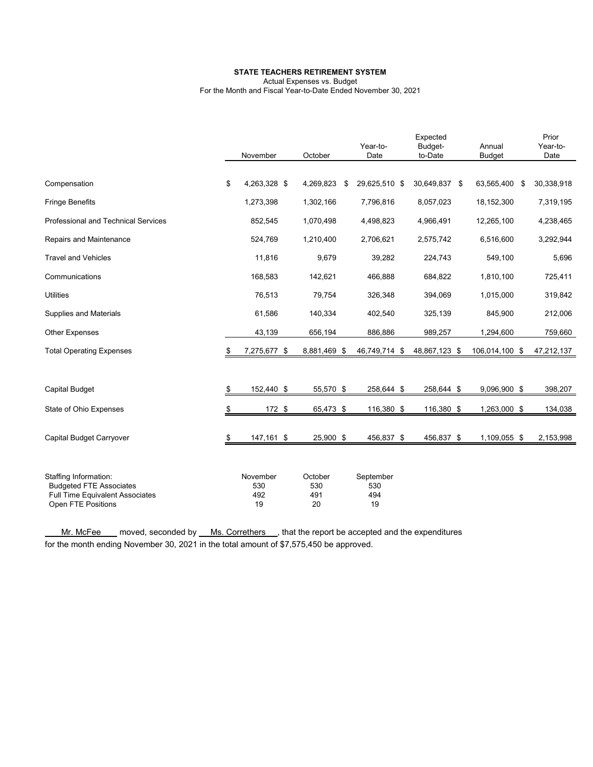#### **STATE TEACHERS RETIREMENT SYSTEM**

Actual Expenses vs. Budget

For the Month and Fiscal Year-to-Date Ended November 30, 2021

|                                                                          | November           | October      | Year-to-<br>Date    | Expected<br>Budget-<br>to-Date | Annual<br>Budget | Prior<br>Year-to-<br>Date |
|--------------------------------------------------------------------------|--------------------|--------------|---------------------|--------------------------------|------------------|---------------------------|
|                                                                          |                    |              |                     |                                |                  |                           |
| Compensation                                                             | \$<br>4,263,328 \$ | 4,269,823    | \$<br>29,625,510 \$ | 30,649,837 \$                  | 63,565,400       | \$<br>30,338,918          |
| <b>Fringe Benefits</b>                                                   | 1,273,398          | 1,302,166    | 7,796,816           | 8,057,023                      | 18,152,300       | 7,319,195                 |
| <b>Professional and Technical Services</b>                               | 852,545            | 1,070,498    | 4,498,823           | 4,966,491                      | 12,265,100       | 4,238,465                 |
| Repairs and Maintenance                                                  | 524,769            | 1,210,400    | 2,706,621           | 2,575,742                      | 6,516,600        | 3,292,944                 |
| <b>Travel and Vehicles</b>                                               | 11,816             | 9,679        | 39,282              | 224,743                        | 549,100          | 5,696                     |
| Communications                                                           | 168,583            | 142,621      | 466,888             | 684,822                        | 1,810,100        | 725,411                   |
| <b>Utilities</b>                                                         | 76,513             | 79,754       | 326,348             | 394,069                        | 1,015,000        | 319,842                   |
| Supplies and Materials                                                   | 61,586             | 140,334      | 402,540             | 325,139                        | 845,900          | 212,006                   |
| <b>Other Expenses</b>                                                    | 43,139             | 656,194      | 886,886             | 989,257                        | 1,294,600        | 759,660                   |
| <b>Total Operating Expenses</b>                                          | \$<br>7,275,677 \$ | 8,881,469 \$ | 46,749,714          | \$<br>48,867,123 \$            | 106,014,100 \$   | 47,212,137                |
|                                                                          |                    |              |                     |                                |                  |                           |
| <b>Capital Budget</b>                                                    | \$<br>152,440 \$   | 55,570 \$    | 258,644 \$          | 258,644 \$                     | 9,096,900 \$     | 398,207                   |
| State of Ohio Expenses                                                   | \$<br>172 \$       | 65,473 \$    | 116,380 \$          | 116,380 \$                     | 1,263,000 \$     | 134,038                   |
|                                                                          |                    |              |                     |                                |                  |                           |
| Capital Budget Carryover                                                 | \$<br>147,161 \$   | 25,900 \$    | 456,837 \$          | 456,837 \$                     | 1,109,055 \$     | 2,153,998                 |
|                                                                          |                    |              |                     |                                |                  |                           |
| Staffing Information:                                                    | November           | October      | September           |                                |                  |                           |
| <b>Budgeted FTE Associates</b><br><b>Full Time Equivalent Associates</b> | 530<br>492         | 530<br>491   | 530<br>494          |                                |                  |                           |
| Open FTE Positions                                                       | 19                 | 20           | 19                  |                                |                  |                           |

Mr. McFee moved, seconded by Ms. Correthers , that the report be accepted and the expenditures for the month ending November 30, 2021 in the total amount of \$7,575,450 be approved.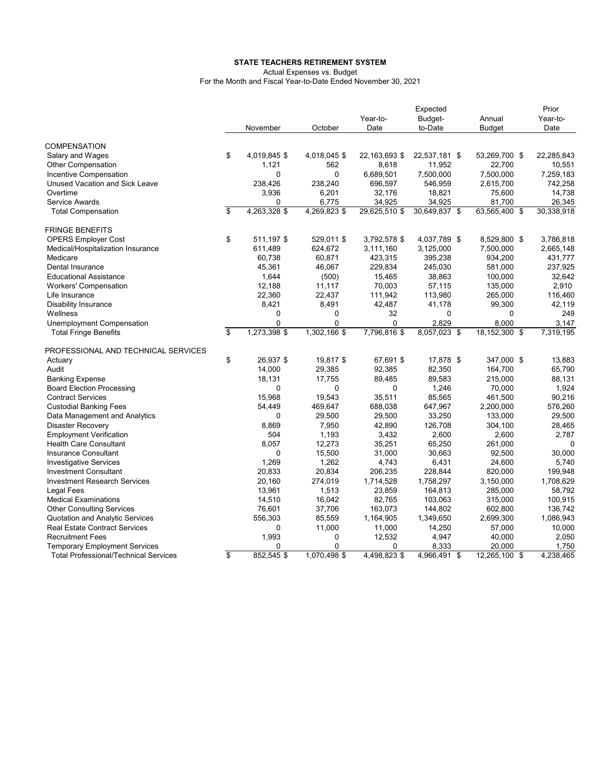#### **STATE TEACHERS RETIREMENT SYSTEM**

Actual Expenses vs. Budget

For the Month and Fiscal Year-to-Date Ended November 30, 2021

|                                                                 |                         |                   |              |               | Expected      |               | Prior      |
|-----------------------------------------------------------------|-------------------------|-------------------|--------------|---------------|---------------|---------------|------------|
|                                                                 |                         |                   |              | Year-to-      | Budget-       | Annual        | Year-to-   |
|                                                                 |                         | November          | October      | Date          | to-Date       | <b>Budget</b> | Date       |
| <b>COMPENSATION</b>                                             |                         |                   |              |               |               |               |            |
| Salary and Wages                                                | \$                      | 4,019,845 \$      | 4,018,045 \$ | 22,163,693 \$ | 22,537,181 \$ | 53,269,700 \$ | 22,285,843 |
| <b>Other Compensation</b>                                       |                         | 1,121             | 562          | 8,618         | 11,952        | 22,700        | 10,551     |
| Incentive Compensation                                          |                         | $\Omega$          | $\Omega$     | 6,689,501     | 7,500,000     | 7,500,000     | 7,259,183  |
| Unused Vacation and Sick Leave                                  |                         | 238,426           | 238,240      | 696,597       | 546,959       | 2,615,700     | 742,258    |
| Overtime                                                        |                         | 3.936             | 6,201        | 32.176        | 18,821        | 75,600        | 14,738     |
| Service Awards                                                  |                         | 0                 | 6,775        | 34,925        | 34,925        | 81,700        | 26,345     |
| <b>Total Compensation</b>                                       | \$                      | 4,263,328 \$      | 4,269,823 \$ | 29,625,510 \$ | 30,649,837 \$ | 63,565,400 \$ | 30,338,918 |
| <b>FRINGE BENEFITS</b>                                          |                         |                   |              |               |               |               |            |
| <b>OPERS Employer Cost</b>                                      | \$                      | 511,197 \$        | 529,011 \$   | 3,792,578 \$  | 4,037,789 \$  | 8,529,800 \$  | 3,786,818  |
| Medical/Hospitalization Insurance                               |                         | 611,489           | 624,672      | 3,111,160     | 3,125,000     | 7,500,000     | 2,665,148  |
| Medicare                                                        |                         | 60,738            | 60,871       | 423,315       | 395,238       | 934,200       | 431,777    |
| Dental Insurance                                                |                         | 45,361            | 46,067       | 229,834       | 245,030       | 581,000       | 237,925    |
| <b>Educational Assistance</b>                                   |                         | 1,644             | (500)        | 15,465        | 38,863        | 100,000       | 32,642     |
| <b>Workers' Compensation</b>                                    |                         | 12,188            | 11,117       | 70,003        | 57,115        | 135,000       | 2,910      |
| Life Insurance                                                  |                         | 22,360            | 22,437       | 111,942       | 113,980       | 265,000       | 116,460    |
| <b>Disability Insurance</b>                                     |                         | 8,421             | 8,491        | 42,487        | 41,178        | 99,300        | 42,119     |
| Wellness                                                        |                         | 0                 | 0            | 32            | 0             | 0             | 249        |
| Unemployment Compensation                                       |                         | $\Omega$          | 0            | $\Omega$      | 2.829         | 8.000         | 3,147      |
| <b>Total Fringe Benefits</b>                                    | $\overline{\mathbf{S}}$ | 1,273,398 \$      | 1,302,166 \$ | 7,796,816 \$  | 8,057,023 \$  | 18,152,300 \$ | 7,319,195  |
|                                                                 |                         |                   |              |               |               |               |            |
| PROFESSIONAL AND TECHNICAL SERVICES                             |                         |                   |              |               |               |               |            |
| Actuary                                                         | \$                      | 26,937 \$         | 19,817 \$    | 67,691 \$     | 17,878 \$     | 347,000 \$    | 13,883     |
| Audit                                                           |                         | 14,000            | 29,385       | 92,385        | 82,350        | 164,700       | 65,790     |
| <b>Banking Expense</b>                                          |                         | 18,131            | 17,755       | 89,485        | 89,583        | 215,000       | 88,131     |
| <b>Board Election Processing</b>                                |                         | 0                 | 0            | 0             | 1,246         | 70,000        | 1.924      |
| <b>Contract Services</b>                                        |                         | 15,968            | 19,543       | 35,511        | 85,565        | 461,500       | 90,216     |
| <b>Custodial Banking Fees</b>                                   |                         | 54,449            | 469,647      | 688,038       | 647,967       | 2,200,000     | 576,260    |
| Data Management and Analytics                                   |                         | 0                 | 29,500       | 29,500        | 33,250        | 133,000       | 29,500     |
| <b>Disaster Recovery</b>                                        |                         | 8,869<br>504      | 7,950        | 42,890        | 126,708       | 304,100       | 28,465     |
| <b>Employment Verification</b><br><b>Health Care Consultant</b> |                         |                   | 1,193        | 3,432         | 2,600         | 2,600         | 2,787<br>0 |
|                                                                 |                         | 8,057<br>$\Omega$ | 12,273       | 35,251        | 65,250        | 261,000       |            |
| <b>Insurance Consultant</b>                                     |                         |                   | 15,500       | 31,000        | 30,663        | 92,500        | 30.000     |
| <b>Investigative Services</b>                                   |                         | 1,269             | 1,262        | 4,743         | 6,431         | 24,600        | 5,740      |
| <b>Investment Consultant</b>                                    |                         | 20,833            | 20,834       | 206,235       | 228,844       | 820,000       | 199,948    |
| <b>Investment Research Services</b>                             |                         | 20,160            | 274,019      | 1,714,528     | 1,758,297     | 3,150,000     | 1,708,629  |
| Legal Fees                                                      |                         | 13,961            | 1,513        | 23,859        | 164,813       | 285,000       | 58,792     |
| <b>Medical Examinations</b>                                     |                         | 14,510            | 16,042       | 82,765        | 103,063       | 315,000       | 100,915    |
| <b>Other Consulting Services</b>                                |                         | 76,601            | 37,706       | 163,073       | 144,802       | 602,800       | 136,742    |
| Quotation and Analytic Services                                 |                         | 556,303           | 85,559       | 1,164,905     | 1,349,650     | 2,699,300     | 1,086,943  |
| <b>Real Estate Contract Services</b>                            |                         | 0                 | 11,000       | 11,000        | 14,250        | 57,000        | 10,000     |
| <b>Recruitment Fees</b>                                         |                         | 1,993             | 0            | 12,532        | 4,947         | 40,000        | 2,050      |
| <b>Temporary Employment Services</b>                            |                         | $\Omega$          | 0            | 0             | 8,333         | 20,000        | 1,750      |
| <b>Total Professional/Technical Services</b>                    | $\overline{\mathbb{S}}$ | 852,545 \$        | 1,070,498 \$ | 4,498,823 \$  | 4,966,491 \$  | 12,265,100 \$ | 4,238,465  |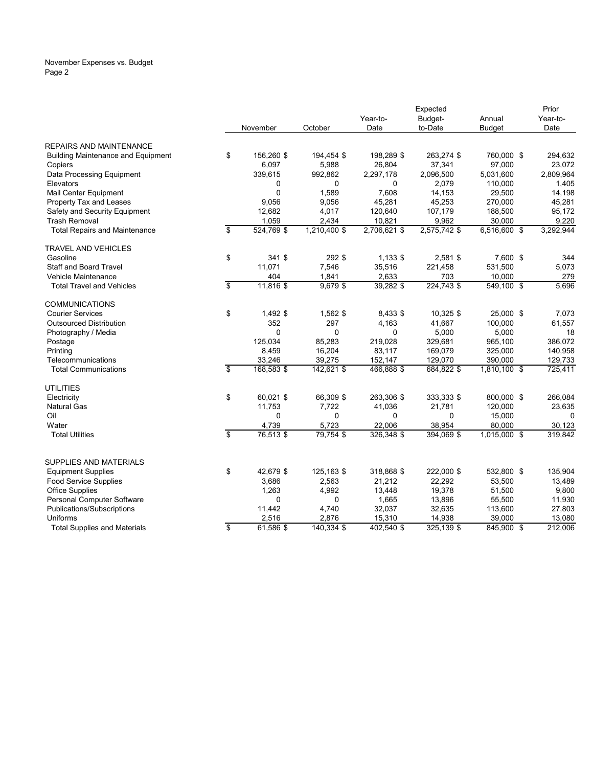#### November Expenses vs. Budget Page 2

|                                           |                         |             |                |                  | Expected         |                         | Prior            |
|-------------------------------------------|-------------------------|-------------|----------------|------------------|------------------|-------------------------|------------------|
|                                           |                         |             |                | Year-to-         | Budget-          | Annual                  | Year-to-         |
|                                           |                         | November    | October        | Date             | to-Date          | <b>Budget</b>           | Date             |
| <b>REPAIRS AND MAINTENANCE</b>            |                         |             |                |                  |                  |                         |                  |
| <b>Building Maintenance and Equipment</b> | \$                      | 156,260 \$  | 194,454 \$     | 198,289 \$       | 263,274 \$       | 760,000 \$              | 294,632          |
| Copiers                                   |                         | 6,097       | 5,988          | 26,804           | 37,341           | 97,000                  | 23,072           |
| Data Processing Equipment                 |                         | 339,615     | 992,862        | 2,297,178        | 2,096,500        | 5,031,600               | 2,809,964        |
| Elevators                                 |                         | 0           | 0              | 0                | 2,079            | 110,000                 | 1,405            |
| Mail Center Equipment                     |                         | $\Omega$    | 1,589          | 7.608            | 14.153           | 29,500                  | 14,198           |
| Property Tax and Leases                   |                         | 9,056       | 9,056          | 45,281           | 45,253           | 270,000                 | 45,281           |
| Safety and Security Equipment             |                         | 12,682      | 4,017          | 120,640          | 107,179          | 188,500                 | 95,172           |
| <b>Trash Removal</b>                      |                         | 1,059       | 2,434          | 10,821           | 9,962            | 30,000                  | 9,220            |
| <b>Total Repairs and Maintenance</b>      | \$                      | 524,769 \$  | 1,210,400 \$   | 2,706,621 \$     | 2,575,742 \$     | 6,516,600 \$            | 3,292,944        |
| <b>TRAVEL AND VEHICLES</b>                |                         |             |                |                  |                  |                         |                  |
| Gasoline                                  | \$                      | 341 \$      | 292 \$         | 1,133 \$         | 2,581 \$         | 7,600 \$                | 344              |
| Staff and Board Travel                    |                         | 11,071      | 7,546          | 35,516           | 221,458          | 531,500                 | 5,073            |
| Vehicle Maintenance                       |                         | 404         | 1,841          | 2,633            | 703              | 10,000                  | 279              |
| <b>Total Travel and Vehicles</b>          | \$                      | 11,816 \$   | $9,679$ \$     | 39,282 \$        | 224,743 \$       | $\overline{549,100}$ \$ | 5.696            |
| <b>COMMUNICATIONS</b>                     |                         |             |                |                  |                  |                         |                  |
| <b>Courier Services</b>                   | \$                      | 1,492 \$    | 1,562 \$       | 8,433 \$         | 10,325 \$        | 25,000 \$               | 7,073            |
| <b>Outsourced Distribution</b>            |                         | 352         | 297            | 4,163            | 41,667           | 100,000                 | 61,557           |
| Photography / Media                       |                         | 0           | 0              | 0                | 5,000            | 5,000                   | 18               |
| Postage                                   |                         | 125,034     | 85,283         | 219,028          | 329,681          | 965,100                 | 386,072          |
| Printing                                  |                         | 8,459       | 16,204         | 83,117           | 169,079          | 325,000                 | 140,958          |
| Telecommunications                        |                         | 33,246      | 39,275         | 152,147          | 129,070          | 390,000                 | 129,733          |
| <b>Total Communications</b>               | $\overline{\mathbf{s}}$ | 168,583 \$  | 142,621 \$     | 466,888 \$       | 684,822 \$       | 1,810,100 \$            | 725,411          |
| <b>UTILITIES</b>                          |                         |             |                |                  |                  |                         |                  |
| Electricity                               | \$                      | 60,021 \$   | 66,309 \$      | 263,306 \$       | 333,333 \$       | 800,000 \$              | 266,084          |
| <b>Natural Gas</b>                        |                         | 11.753      | 7.722          | 41,036           | 21,781           | 120,000                 | 23,635           |
| Oil                                       |                         | 0           | 0              | 0                | 0                | 15,000                  | $\mathbf 0$      |
| Water                                     |                         | 4,739       | 5,723          | 22,006           | 38,954           | 80,000                  | 30,123           |
| <b>Total Utilities</b>                    | $\overline{\mathbf{S}}$ | 76,513 \$   | 79,754 \$      | 326,348 \$       | 394,069 \$       | 1,015,000 \$            | 319,842          |
|                                           |                         |             |                |                  |                  |                         |                  |
| SUPPLIES AND MATERIALS                    |                         |             |                |                  |                  |                         |                  |
| <b>Equipment Supplies</b>                 | \$                      | 42,679 \$   | 125,163 \$     | 318,868 \$       | 222,000 \$       | 532,800 \$              | 135,904          |
| Food Service Supplies                     |                         | 3,686       | 2,563          | 21,212           | 22,292           | 53,500                  | 13,489           |
| <b>Office Supplies</b>                    |                         | 1,263       | 4,992          | 13,448           | 19,378           | 51,500                  | 9,800            |
| Personal Computer Software                |                         | 0<br>11,442 | 0              | 1,665            | 13,896<br>32,635 | 55,500                  | 11,930           |
| Publications/Subscriptions<br>Uniforms    |                         | 2,516       | 4,740<br>2,876 | 32,037<br>15,310 | 14,938           | 113,600<br>39,000       | 27,803<br>13,080 |
|                                           | \$                      | 61,586 \$   |                |                  |                  |                         | 212,006          |
| <b>Total Supplies and Materials</b>       |                         |             | 140,334 \$     | 402,540 \$       | 325,139 \$       | 845,900 \$              |                  |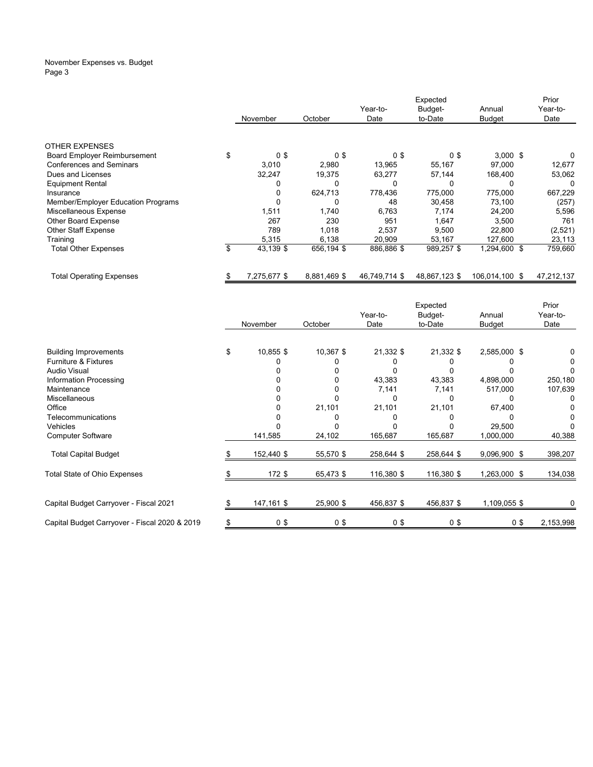#### November Expenses vs. Budget Page 3

|                                     |                      |                |               | Expected       |                | Prior      |
|-------------------------------------|----------------------|----------------|---------------|----------------|----------------|------------|
|                                     |                      |                | Year-to-      | Budget-        | Annual         | Year-to-   |
|                                     | November             | October        | Date          | to-Date        | <b>Budget</b>  | Date       |
|                                     |                      |                |               |                |                |            |
| <b>OTHER EXPENSES</b>               |                      |                |               |                |                |            |
| <b>Board Employer Reimbursement</b> | \$<br>0 <sup>3</sup> | 0 <sup>3</sup> | 0\$           | 0 <sup>3</sup> | $3,000$ \$     | 0          |
| <b>Conferences and Seminars</b>     | 3,010                | 2,980          | 13,965        | 55,167         | 97,000         | 12,677     |
| Dues and Licenses                   | 32,247               | 19,375         | 63,277        | 57,144         | 168,400        | 53,062     |
| <b>Equipment Rental</b>             |                      | 0              | 0             | 0              | 0              | 0          |
| Insurance                           |                      | 624,713        | 778,436       | 775,000        | 775,000        | 667,229    |
| Member/Employer Education Programs  |                      | 0              | 48            | 30,458         | 73.100         | (257)      |
| Miscellaneous Expense               | 1,511                | 1,740          | 6,763         | 7,174          | 24,200         | 5,596      |
| <b>Other Board Expense</b>          | 267                  | 230            | 951           | 1,647          | 3,500          | 761        |
| <b>Other Staff Expense</b>          | 789                  | 1,018          | 2,537         | 9,500          | 22,800         | (2,521)    |
| Training                            | 5,315                | 6,138          | 20,909        | 53,167         | 127,600        | 23,113     |
| <b>Total Other Expenses</b>         | \$<br>43,139 \$      | 656,194 \$     | 886,886 \$    | 989,257 \$     | 1,294,600 \$   | 759,660    |
| Total Operating Expenses            | 7,275,677 \$         | 8,881,469 \$   | 46,749,714 \$ | 48.867.123 \$  | 106.014.100 \$ | 47,212,137 |

|                                               |                 |                |                | Expected       |                | Prior     |
|-----------------------------------------------|-----------------|----------------|----------------|----------------|----------------|-----------|
|                                               |                 |                | Year-to-       | Budget-        | Annual         | Year-to-  |
|                                               | November        | October        | Date           | to-Date        | <b>Budget</b>  | Date      |
|                                               |                 |                |                |                |                |           |
| <b>Building Improvements</b>                  | \$<br>10,855 \$ | 10,367 \$      | 21,332 \$      | 21,332 \$      | 2,585,000 \$   |           |
| <b>Furniture &amp; Fixtures</b>               |                 |                |                |                |                |           |
| <b>Audio Visual</b>                           |                 |                |                |                |                |           |
| Information Processing                        |                 |                | 43,383         | 43,383         | 4,898,000      | 250,180   |
| Maintenance                                   |                 |                | 7,141          | 7,141          | 517,000        | 107,639   |
| Miscellaneous                                 |                 |                | 0              | 0              |                |           |
| Office                                        |                 | 21,101         | 21,101         | 21,101         | 67,400         |           |
| Telecommunications                            |                 |                |                |                |                |           |
| <b>Vehicles</b>                               |                 |                |                |                | 29,500         |           |
| <b>Computer Software</b>                      | 141,585         | 24,102         | 165,687        | 165,687        | 1,000,000      | 40,388    |
| <b>Total Capital Budget</b>                   | 152,440 \$      | 55,570 \$      | 258,644 \$     | 258,644 \$     | 9,096,900 \$   | 398,207   |
| Total State of Ohio Expenses                  | 172 \$          | 65,473 \$      | 116,380 \$     | 116,380 \$     | 1,263,000 \$   | 134,038   |
|                                               |                 |                |                |                |                |           |
| Capital Budget Carryover - Fiscal 2021        | 147,161 \$      | 25,900 \$      | 456,837 \$     | 456,837 \$     | 1,109,055 \$   |           |
| Capital Budget Carryover - Fiscal 2020 & 2019 | 0 <sup>3</sup>  | 0 <sup>5</sup> | 0 <sup>3</sup> | 0 <sup>3</sup> | 0 <sup>3</sup> | 2,153,998 |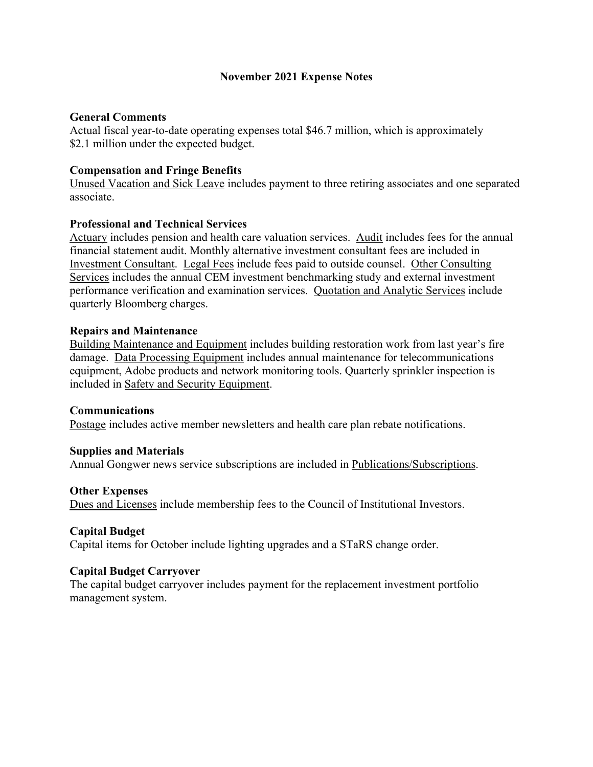# **November 2021 Expense Notes**

## **General Comments**

Actual fiscal year-to-date operating expenses total \$46.7 million, which is approximately \$2.1 million under the expected budget.

## **Compensation and Fringe Benefits**

Unused Vacation and Sick Leave includes payment to three retiring associates and one separated associate.

### **Professional and Technical Services**

Actuary includes pension and health care valuation services. Audit includes fees for the annual financial statement audit. Monthly alternative investment consultant fees are included in Investment Consultant. Legal Fees include fees paid to outside counsel. Other Consulting Services includes the annual CEM investment benchmarking study and external investment performance verification and examination services. Quotation and Analytic Services include quarterly Bloomberg charges.

### **Repairs and Maintenance**

Building Maintenance and Equipment includes building restoration work from last year's fire damage. Data Processing Equipment includes annual maintenance for telecommunications equipment, Adobe products and network monitoring tools. Quarterly sprinkler inspection is included in Safety and Security Equipment.

#### **Communications**

Postage includes active member newsletters and health care plan rebate notifications.

#### **Supplies and Materials**

Annual Gongwer news service subscriptions are included in Publications/Subscriptions.

#### **Other Expenses**

Dues and Licenses include membership fees to the Council of Institutional Investors.

## **Capital Budget**

Capital items for October include lighting upgrades and a STaRS change order.

## **Capital Budget Carryover**

The capital budget carryover includes payment for the replacement investment portfolio management system.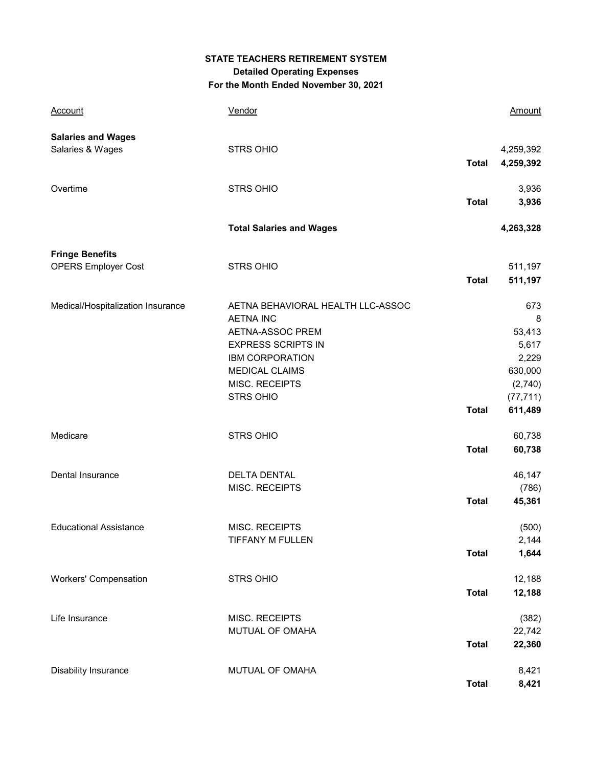# **STATE TEACHERS RETIREMENT SYSTEM Detailed Operating Expenses For the Month Ended November 30, 2021**

| <b>Account</b>                                | Vendor                                                                                                                                                                                          |              | Amount                                                                             |
|-----------------------------------------------|-------------------------------------------------------------------------------------------------------------------------------------------------------------------------------------------------|--------------|------------------------------------------------------------------------------------|
| <b>Salaries and Wages</b><br>Salaries & Wages | <b>STRS OHIO</b>                                                                                                                                                                                | <b>Total</b> | 4,259,392<br>4,259,392                                                             |
| Overtime                                      | STRS OHIO                                                                                                                                                                                       | <b>Total</b> | 3,936<br>3,936                                                                     |
|                                               | <b>Total Salaries and Wages</b>                                                                                                                                                                 |              | 4,263,328                                                                          |
| <b>Fringe Benefits</b>                        |                                                                                                                                                                                                 |              |                                                                                    |
| <b>OPERS Employer Cost</b>                    | <b>STRS OHIO</b>                                                                                                                                                                                | <b>Total</b> | 511,197<br>511,197                                                                 |
| Medical/Hospitalization Insurance             | AETNA BEHAVIORAL HEALTH LLC-ASSOC<br><b>AETNA INC</b><br>AETNA-ASSOC PREM<br><b>EXPRESS SCRIPTS IN</b><br><b>IBM CORPORATION</b><br><b>MEDICAL CLAIMS</b><br>MISC. RECEIPTS<br><b>STRS OHIO</b> | <b>Total</b> | 673<br>8<br>53,413<br>5,617<br>2,229<br>630,000<br>(2,740)<br>(77, 711)<br>611,489 |
| Medicare                                      | <b>STRS OHIO</b>                                                                                                                                                                                | <b>Total</b> | 60,738<br>60,738                                                                   |
| Dental Insurance                              | <b>DELTA DENTAL</b><br>MISC. RECEIPTS                                                                                                                                                           | <b>Total</b> | 46,147<br>(786)<br>45,361                                                          |
| <b>Educational Assistance</b>                 | MISC. RECEIPTS<br><b>TIFFANY M FULLEN</b>                                                                                                                                                       | <b>Total</b> | (500)<br>2,144<br>1,644                                                            |
| <b>Workers' Compensation</b>                  | STRS OHIO                                                                                                                                                                                       | <b>Total</b> | 12,188<br>12,188                                                                   |
| Life Insurance                                | MISC. RECEIPTS<br>MUTUAL OF OMAHA                                                                                                                                                               | <b>Total</b> | (382)<br>22,742<br>22,360                                                          |
| Disability Insurance                          | MUTUAL OF OMAHA                                                                                                                                                                                 | <b>Total</b> | 8,421<br>8,421                                                                     |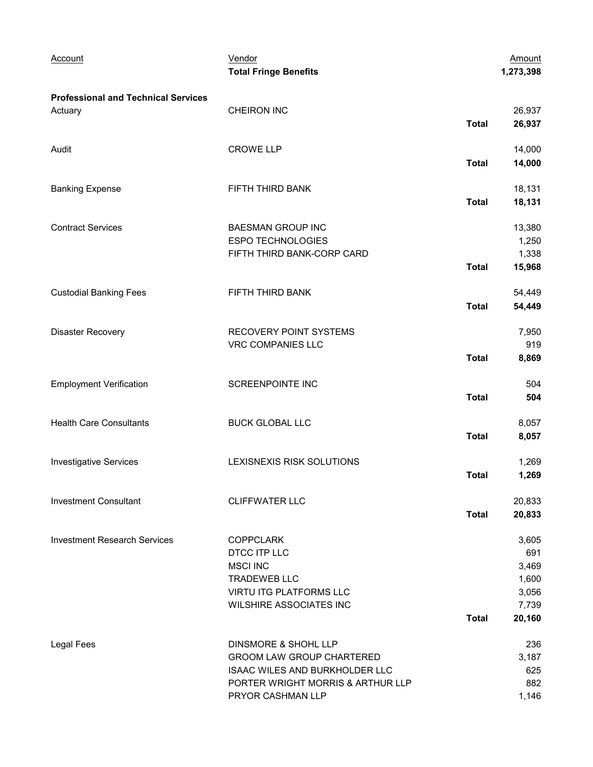| Account                                    | Vendor<br><b>Total Fringe Benefits</b> |              | Amount<br>1,273,398 |
|--------------------------------------------|----------------------------------------|--------------|---------------------|
| <b>Professional and Technical Services</b> |                                        |              |                     |
| Actuary                                    | <b>CHEIRON INC</b>                     |              | 26,937              |
|                                            |                                        | <b>Total</b> | 26,937              |
| Audit                                      | <b>CROWE LLP</b>                       |              | 14,000              |
|                                            |                                        | <b>Total</b> | 14,000              |
| <b>Banking Expense</b>                     | FIFTH THIRD BANK                       |              | 18,131              |
|                                            |                                        | <b>Total</b> | 18,131              |
| <b>Contract Services</b>                   | <b>BAESMAN GROUP INC</b>               |              | 13,380              |
|                                            | <b>ESPO TECHNOLOGIES</b>               |              | 1,250               |
|                                            | FIFTH THIRD BANK-CORP CARD             |              | 1,338               |
|                                            |                                        | <b>Total</b> | 15,968              |
| <b>Custodial Banking Fees</b>              | FIFTH THIRD BANK                       |              | 54,449              |
|                                            |                                        | <b>Total</b> | 54,449              |
| <b>Disaster Recovery</b>                   | RECOVERY POINT SYSTEMS                 |              | 7,950               |
|                                            | VRC COMPANIES LLC                      |              | 919                 |
|                                            |                                        | <b>Total</b> | 8,869               |
| <b>Employment Verification</b>             | <b>SCREENPOINTE INC</b>                |              | 504                 |
|                                            |                                        | <b>Total</b> | 504                 |
| <b>Health Care Consultants</b>             | <b>BUCK GLOBAL LLC</b>                 |              | 8,057               |
|                                            |                                        | <b>Total</b> | 8,057               |
| <b>Investigative Services</b>              | LEXISNEXIS RISK SOLUTIONS              |              | 1,269               |
|                                            |                                        | <b>Total</b> | 1,269               |
| <b>Investment Consultant</b>               | <b>CLIFFWATER LLC</b>                  |              | 20,833              |
|                                            |                                        | <b>Total</b> | 20,833              |
| <b>Investment Research Services</b>        | <b>COPPCLARK</b>                       |              | 3,605               |
|                                            | DTCC ITP LLC                           |              | 691                 |
|                                            | <b>MSCI INC</b>                        |              | 3,469               |
|                                            | <b>TRADEWEB LLC</b>                    |              | 1,600               |
|                                            | VIRTU ITG PLATFORMS LLC                |              | 3,056               |
|                                            | <b>WILSHIRE ASSOCIATES INC</b>         |              | 7,739               |
|                                            |                                        | <b>Total</b> | 20,160              |
| Legal Fees                                 | DINSMORE & SHOHL LLP                   |              | 236                 |
|                                            | <b>GROOM LAW GROUP CHARTERED</b>       |              | 3,187               |
|                                            | ISAAC WILES AND BURKHOLDER LLC         |              | 625                 |
|                                            | PORTER WRIGHT MORRIS & ARTHUR LLP      |              | 882                 |
|                                            | PRYOR CASHMAN LLP                      |              | 1,146               |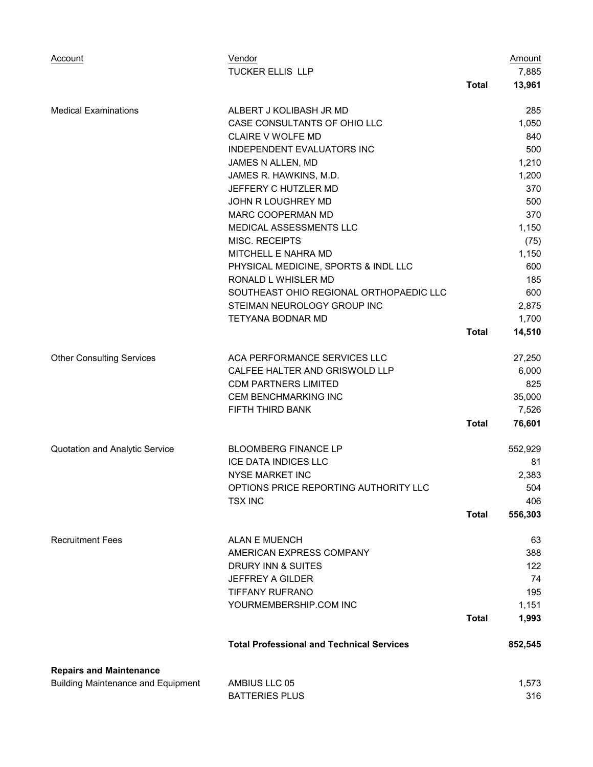| <b>Account</b>                            | Vendor                                           |              | <b>Amount</b>   |
|-------------------------------------------|--------------------------------------------------|--------------|-----------------|
|                                           | <b>TUCKER ELLIS LLP</b>                          |              | 7,885           |
|                                           |                                                  | <b>Total</b> | 13,961          |
| <b>Medical Examinations</b>               | ALBERT J KOLIBASH JR MD                          |              | 285             |
|                                           | CASE CONSULTANTS OF OHIO LLC                     |              | 1,050           |
|                                           | <b>CLAIRE V WOLFE MD</b>                         |              | 840             |
|                                           | INDEPENDENT EVALUATORS INC                       |              | 500             |
|                                           | JAMES N ALLEN, MD                                |              | 1,210           |
|                                           | JAMES R. HAWKINS, M.D.                           |              | 1,200           |
|                                           | JEFFERY C HUTZLER MD                             |              | 370             |
|                                           | JOHN R LOUGHREY MD                               |              | 500             |
|                                           | MARC COOPERMAN MD                                |              | 370             |
|                                           | MEDICAL ASSESSMENTS LLC                          |              | 1,150           |
|                                           | MISC. RECEIPTS                                   |              | (75)            |
|                                           | MITCHELL E NAHRA MD                              |              | 1,150           |
|                                           | PHYSICAL MEDICINE, SPORTS & INDL LLC             |              | 600             |
|                                           | RONALD L WHISLER MD                              |              | 185             |
|                                           | SOUTHEAST OHIO REGIONAL ORTHOPAEDIC LLC          |              | 600             |
|                                           | STEIMAN NEUROLOGY GROUP INC                      |              | 2,875           |
|                                           | TETYANA BODNAR MD                                | <b>Total</b> | 1,700<br>14,510 |
|                                           |                                                  |              |                 |
| <b>Other Consulting Services</b>          | ACA PERFORMANCE SERVICES LLC                     |              | 27,250          |
|                                           | CALFEE HALTER AND GRISWOLD LLP                   |              | 6,000           |
|                                           | <b>CDM PARTNERS LIMITED</b>                      |              | 825             |
|                                           | CEM BENCHMARKING INC                             |              | 35,000          |
|                                           | FIFTH THIRD BANK                                 |              | 7,526           |
|                                           |                                                  | <b>Total</b> | 76,601          |
| Quotation and Analytic Service            | <b>BLOOMBERG FINANCE LP</b>                      |              | 552,929         |
|                                           | <b>ICE DATA INDICES LLC</b>                      |              | 81              |
|                                           | <b>NYSE MARKET INC</b>                           |              | 2,383           |
|                                           | OPTIONS PRICE REPORTING AUTHORITY LLC            |              | 504             |
|                                           | <b>TSX INC</b>                                   |              | 406             |
|                                           |                                                  | <b>Total</b> | 556,303         |
| <b>Recruitment Fees</b>                   | <b>ALAN E MUENCH</b>                             |              | 63              |
|                                           | AMERICAN EXPRESS COMPANY                         |              | 388             |
|                                           | DRURY INN & SUITES                               |              | 122             |
|                                           | JEFFREY A GILDER                                 |              | 74              |
|                                           | <b>TIFFANY RUFRANO</b>                           |              | 195             |
|                                           | YOURMEMBERSHIP.COM INC                           |              | 1,151           |
|                                           |                                                  | <b>Total</b> | 1,993           |
|                                           | <b>Total Professional and Technical Services</b> |              | 852,545         |
| <b>Repairs and Maintenance</b>            |                                                  |              |                 |
| <b>Building Maintenance and Equipment</b> | AMBIUS LLC 05                                    |              | 1,573           |
|                                           | <b>BATTERIES PLUS</b>                            |              | 316             |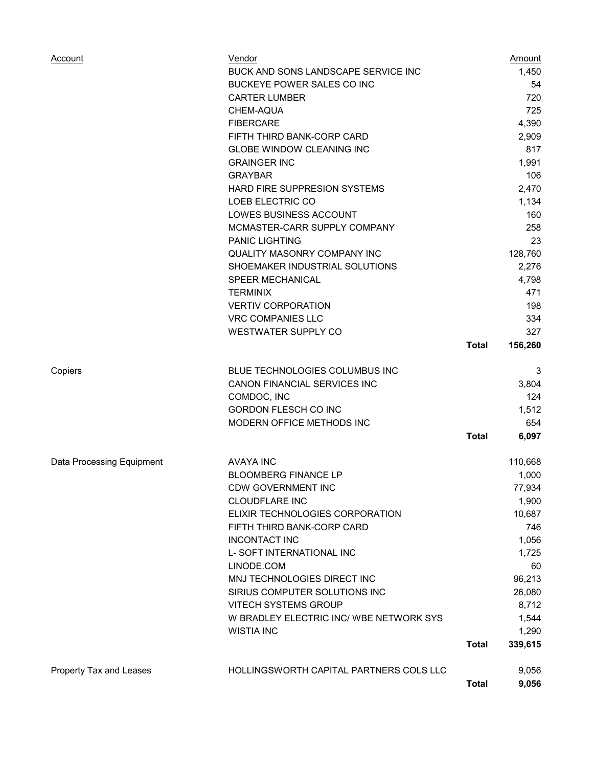| Account                   | Vendor<br>BUCK AND SONS LANDSCAPE SERVICE INC<br>BUCKEYE POWER SALES CO INC<br><b>CARTER LUMBER</b><br>CHEM-AQUA<br><b>FIBERCARE</b><br>FIFTH THIRD BANK-CORP CARD<br><b>GLOBE WINDOW CLEANING INC</b><br><b>GRAINGER INC</b><br><b>GRAYBAR</b><br><b>HARD FIRE SUPPRESION SYSTEMS</b><br>LOEB ELECTRIC CO<br>LOWES BUSINESS ACCOUNT<br>MCMASTER-CARR SUPPLY COMPANY<br><b>PANIC LIGHTING</b><br><b>QUALITY MASONRY COMPANY INC</b><br>SHOEMAKER INDUSTRIAL SOLUTIONS<br><b>SPEER MECHANICAL</b><br><b>TERMINIX</b> |              | Amount<br>1,450<br>54<br>720<br>725<br>4,390<br>2,909<br>817<br>1,991<br>106<br>2,470<br>1,134<br>160<br>258<br>23<br>128,760<br>2,276<br>4,798<br>471 |
|---------------------------|---------------------------------------------------------------------------------------------------------------------------------------------------------------------------------------------------------------------------------------------------------------------------------------------------------------------------------------------------------------------------------------------------------------------------------------------------------------------------------------------------------------------|--------------|--------------------------------------------------------------------------------------------------------------------------------------------------------|
|                           | <b>VERTIV CORPORATION</b><br><b>VRC COMPANIES LLC</b><br><b>WESTWATER SUPPLY CO</b>                                                                                                                                                                                                                                                                                                                                                                                                                                 | <b>Total</b> | 198<br>334<br>327<br>156,260                                                                                                                           |
| Copiers                   | <b>BLUE TECHNOLOGIES COLUMBUS INC</b><br>CANON FINANCIAL SERVICES INC<br>COMDOC, INC<br><b>GORDON FLESCH CO INC</b><br>MODERN OFFICE METHODS INC                                                                                                                                                                                                                                                                                                                                                                    | <b>Total</b> | 3<br>3,804<br>124<br>1,512<br>654<br>6,097                                                                                                             |
| Data Processing Equipment | <b>AVAYA INC</b><br><b>BLOOMBERG FINANCE LP</b><br><b>CDW GOVERNMENT INC</b><br><b>CLOUDFLARE INC</b><br>ELIXIR TECHNOLOGIES CORPORATION<br>FIFTH THIRD BANK-CORP CARD<br><b>INCONTACT INC</b><br>L- SOFT INTERNATIONAL INC<br>LINODE.COM<br>MNJ TECHNOLOGIES DIRECT INC<br>SIRIUS COMPUTER SOLUTIONS INC<br><b>VITECH SYSTEMS GROUP</b><br>W BRADLEY ELECTRIC INC/ WBE NETWORK SYS<br><b>WISTIA INC</b>                                                                                                            | <b>Total</b> | 110,668<br>1,000<br>77,934<br>1,900<br>10,687<br>746<br>1,056<br>1,725<br>60<br>96,213<br>26,080<br>8,712<br>1,544<br>1,290<br>339,615                 |
| Property Tax and Leases   | HOLLINGSWORTH CAPITAL PARTNERS COLS LLC                                                                                                                                                                                                                                                                                                                                                                                                                                                                             | <b>Total</b> | 9,056<br>9,056                                                                                                                                         |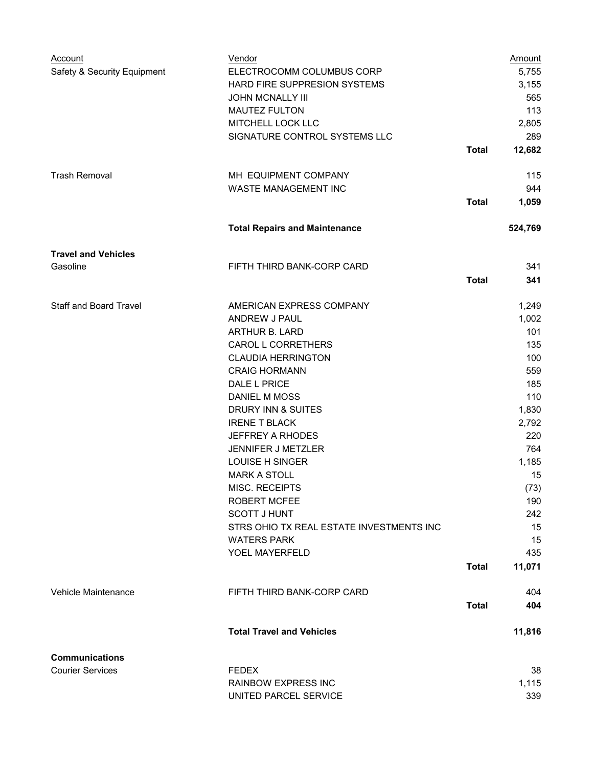| Account                       | Vendor                                   |              | <b>Amount</b> |
|-------------------------------|------------------------------------------|--------------|---------------|
| Safety & Security Equipment   | ELECTROCOMM COLUMBUS CORP                |              | 5,755         |
|                               | HARD FIRE SUPPRESION SYSTEMS             |              | 3,155         |
|                               | <b>JOHN MCNALLY III</b>                  |              | 565           |
|                               | <b>MAUTEZ FULTON</b>                     |              | 113           |
|                               | MITCHELL LOCK LLC                        |              | 2,805         |
|                               | SIGNATURE CONTROL SYSTEMS LLC            |              | 289           |
|                               |                                          | <b>Total</b> | 12,682        |
| <b>Trash Removal</b>          | MH EQUIPMENT COMPANY                     |              | 115           |
|                               | <b>WASTE MANAGEMENT INC</b>              |              | 944           |
|                               |                                          | <b>Total</b> | 1,059         |
|                               |                                          |              |               |
|                               | <b>Total Repairs and Maintenance</b>     |              | 524,769       |
| <b>Travel and Vehicles</b>    |                                          |              |               |
| Gasoline                      | FIFTH THIRD BANK-CORP CARD               |              | 341           |
|                               |                                          | <b>Total</b> | 341           |
|                               |                                          |              |               |
| <b>Staff and Board Travel</b> | AMERICAN EXPRESS COMPANY                 |              | 1,249         |
|                               | ANDREW J PAUL                            |              | 1,002         |
|                               | ARTHUR B. LARD                           |              | 101           |
|                               | CAROL L CORRETHERS                       |              | 135           |
|                               | <b>CLAUDIA HERRINGTON</b>                |              | 100           |
|                               | <b>CRAIG HORMANN</b>                     |              | 559           |
|                               | DALE L PRICE                             |              | 185           |
|                               | <b>DANIEL M MOSS</b>                     |              | 110           |
|                               | DRURY INN & SUITES                       |              | 1,830         |
|                               | <b>IRENE T BLACK</b>                     |              | 2,792         |
|                               | JEFFREY A RHODES                         |              | 220           |
|                               | JENNIFER J METZLER                       |              | 764           |
|                               | LOUISE H SINGER                          |              | 1,185         |
|                               | <b>MARK A STOLL</b>                      |              | 15            |
|                               | MISC. RECEIPTS                           |              | (73)          |
|                               | <b>ROBERT MCFEE</b>                      |              | 190           |
|                               | <b>SCOTT J HUNT</b>                      |              | 242           |
|                               | STRS OHIO TX REAL ESTATE INVESTMENTS INC |              | 15            |
|                               | <b>WATERS PARK</b>                       |              | 15            |
|                               | YOEL MAYERFELD                           |              | 435           |
|                               |                                          | <b>Total</b> | 11,071        |
| Vehicle Maintenance           | FIFTH THIRD BANK-CORP CARD               |              | 404           |
|                               |                                          | <b>Total</b> | 404           |
|                               | <b>Total Travel and Vehicles</b>         |              | 11,816        |
|                               |                                          |              |               |
| <b>Communications</b>         |                                          |              |               |
| <b>Courier Services</b>       | <b>FEDEX</b>                             |              | 38            |
|                               | <b>RAINBOW EXPRESS INC</b>               |              | 1,115         |
|                               | UNITED PARCEL SERVICE                    |              | 339           |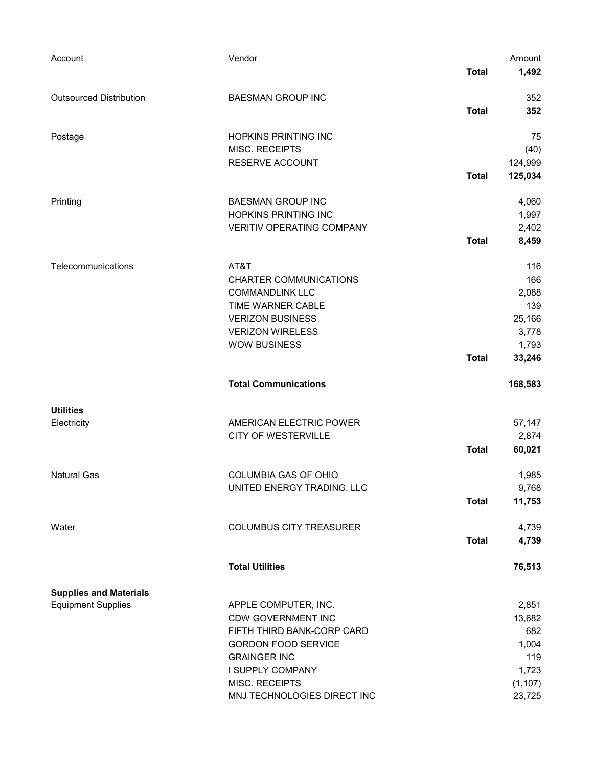| Account                                                    | Vendor                                                                                                                                                                                                    | <b>Total</b> | Amount<br>1,492                                                       |
|------------------------------------------------------------|-----------------------------------------------------------------------------------------------------------------------------------------------------------------------------------------------------------|--------------|-----------------------------------------------------------------------|
| <b>Outsourced Distribution</b>                             | <b>BAESMAN GROUP INC</b>                                                                                                                                                                                  | <b>Total</b> | 352<br>352                                                            |
| Postage                                                    | <b>HOPKINS PRINTING INC</b><br>MISC. RECEIPTS<br>RESERVE ACCOUNT                                                                                                                                          | <b>Total</b> | 75<br>(40)<br>124,999<br>125,034                                      |
| Printing                                                   | <b>BAESMAN GROUP INC</b><br>HOPKINS PRINTING INC<br><b>VERITIV OPERATING COMPANY</b>                                                                                                                      | <b>Total</b> | 4,060<br>1,997<br>2,402<br>8,459                                      |
| Telecommunications                                         | AT&T<br><b>CHARTER COMMUNICATIONS</b><br><b>COMMANDLINK LLC</b><br>TIME WARNER CABLE<br><b>VERIZON BUSINESS</b><br><b>VERIZON WIRELESS</b><br><b>WOW BUSINESS</b>                                         | <b>Total</b> | 116<br>166<br>2,088<br>139<br>25,166<br>3,778<br>1,793<br>33,246      |
|                                                            | <b>Total Communications</b>                                                                                                                                                                               |              | 168,583                                                               |
| <b>Utilities</b><br>Electricity                            | AMERICAN ELECTRIC POWER<br><b>CITY OF WESTERVILLE</b>                                                                                                                                                     | <b>Total</b> | 57,147<br>2,874<br>60,021                                             |
| <b>Natural Gas</b>                                         | <b>COLUMBIA GAS OF OHIO</b><br>UNITED ENERGY TRADING, LLC                                                                                                                                                 | <b>Total</b> | 1,985<br>9,768<br>11,753                                              |
| Water                                                      | <b>COLUMBUS CITY TREASURER</b>                                                                                                                                                                            | <b>Total</b> | 4,739<br>4,739                                                        |
|                                                            | <b>Total Utilities</b>                                                                                                                                                                                    |              | 76,513                                                                |
| <b>Supplies and Materials</b><br><b>Equipment Supplies</b> | APPLE COMPUTER, INC.<br><b>CDW GOVERNMENT INC</b><br>FIFTH THIRD BANK-CORP CARD<br><b>GORDON FOOD SERVICE</b><br><b>GRAINGER INC</b><br>I SUPPLY COMPANY<br>MISC. RECEIPTS<br>MNJ TECHNOLOGIES DIRECT INC |              | 2,851<br>13,682<br>682<br>1,004<br>119<br>1,723<br>(1, 107)<br>23,725 |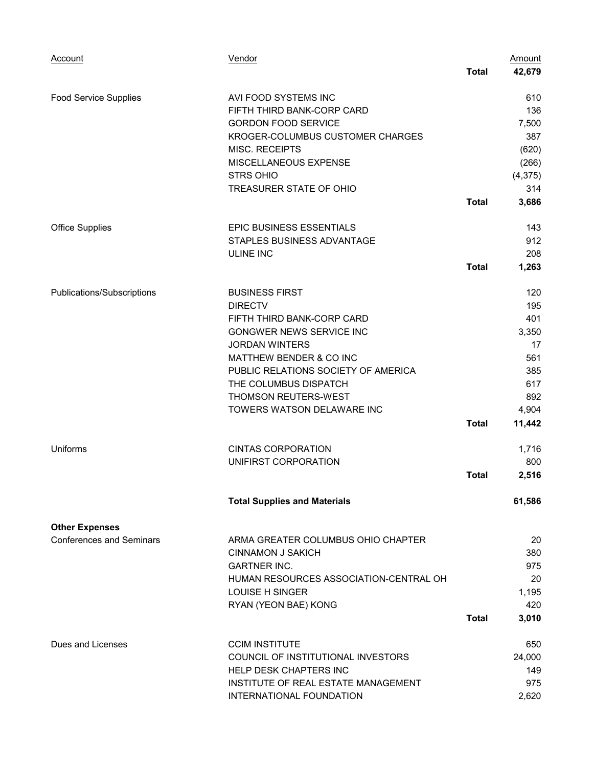| Account                         | Vendor                                 |              | <b>Amount</b> |
|---------------------------------|----------------------------------------|--------------|---------------|
|                                 |                                        | <b>Total</b> | 42,679        |
| <b>Food Service Supplies</b>    | AVI FOOD SYSTEMS INC                   |              | 610           |
|                                 | FIFTH THIRD BANK-CORP CARD             |              | 136           |
|                                 | <b>GORDON FOOD SERVICE</b>             |              | 7,500         |
|                                 | KROGER-COLUMBUS CUSTOMER CHARGES       |              | 387           |
|                                 | <b>MISC. RECEIPTS</b>                  |              | (620)         |
|                                 | MISCELLANEOUS EXPENSE                  |              | (266)         |
|                                 | <b>STRS OHIO</b>                       |              | (4, 375)      |
|                                 | TREASURER STATE OF OHIO                |              | 314           |
|                                 |                                        | <b>Total</b> | 3,686         |
| <b>Office Supplies</b>          | EPIC BUSINESS ESSENTIALS               |              | 143           |
|                                 | STAPLES BUSINESS ADVANTAGE             |              | 912           |
|                                 | <b>ULINE INC</b>                       |              | 208           |
|                                 |                                        | <b>Total</b> | 1,263         |
| Publications/Subscriptions      | <b>BUSINESS FIRST</b>                  |              | 120           |
|                                 | <b>DIRECTV</b>                         |              | 195           |
|                                 | FIFTH THIRD BANK-CORP CARD             |              | 401           |
|                                 | GONGWER NEWS SERVICE INC               |              | 3,350         |
|                                 | <b>JORDAN WINTERS</b>                  |              | 17            |
|                                 | MATTHEW BENDER & CO INC                |              | 561           |
|                                 | PUBLIC RELATIONS SOCIETY OF AMERICA    |              | 385           |
|                                 | THE COLUMBUS DISPATCH                  |              | 617           |
|                                 | THOMSON REUTERS-WEST                   |              | 892           |
|                                 | TOWERS WATSON DELAWARE INC             |              | 4,904         |
|                                 |                                        | <b>Total</b> | 11,442        |
| Uniforms                        | <b>CINTAS CORPORATION</b>              |              | 1,716         |
|                                 | UNIFIRST CORPORATION                   |              | 800           |
|                                 |                                        | <b>Total</b> | 2,516         |
|                                 | <b>Total Supplies and Materials</b>    |              | 61,586        |
| <b>Other Expenses</b>           |                                        |              |               |
| <b>Conferences and Seminars</b> | ARMA GREATER COLUMBUS OHIO CHAPTER     |              | 20            |
|                                 | <b>CINNAMON J SAKICH</b>               |              | 380           |
|                                 | <b>GARTNER INC.</b>                    |              | 975           |
|                                 | HUMAN RESOURCES ASSOCIATION-CENTRAL OH |              | 20            |
|                                 | <b>LOUISE H SINGER</b>                 |              | 1,195         |
|                                 | RYAN (YEON BAE) KONG                   |              | 420           |
|                                 |                                        | Total        | 3,010         |
| Dues and Licenses               | <b>CCIM INSTITUTE</b>                  |              | 650           |
|                                 | COUNCIL OF INSTITUTIONAL INVESTORS     |              | 24,000        |
|                                 | HELP DESK CHAPTERS INC                 |              | 149           |
|                                 | INSTITUTE OF REAL ESTATE MANAGEMENT    |              | 975           |
|                                 | INTERNATIONAL FOUNDATION               |              | 2,620         |